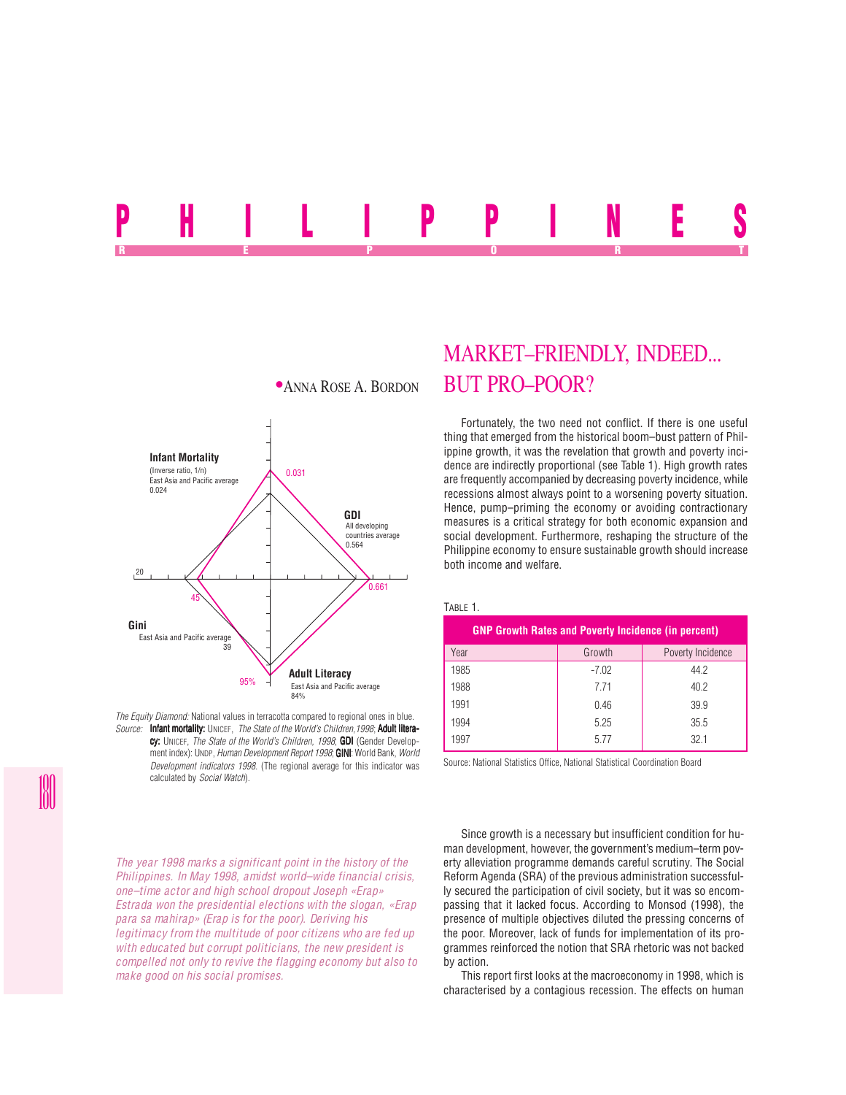# P<mark>HILLIPPINES</mark> REPORT OF STATE REPORT OF STATE REPORT OF STATE REPORT OF STATE REPORT OF STATE REPORT OF STATE REPORT OF STATE REPORT OF STATE REPORT OF STATE REPORT OF STATE REPORT OF STATE REPORT OF STATE REPORT OF STATE REPORT OF STAT



*The Equity Diamond:* National values in terracotta compared to regional ones in blue. *Source:* Infant mortality: UNICEF, *The State of the World's Children, 1998*; Adult litera-

cy: UNICEF, *The State of the World's Children, 1998*; GDI (Gender Development index): UNDP, *Human Development Report 1998*; **GINI**: World Bank, *World Development indicators 1998*. (The regional average for this indicator was calculated by *Social Watch*).

*The year 1998 marks a significant point in the history of the Philippines. In May 1998, amidst world–wide financial crisis, one–time actor and high school dropout Joseph «Erap» Estrada won the presidential elections with the slogan, «Erap para sa mahirap» (Erap is for the poor). Deriving his legitimacy from the multitude of poor citizens who are fed up with educated but corrupt politicians, the new president is compelled not only to revive the flagging economy but also to make good on his social promises.*

## MARKET–FRIENDLY, INDEED... **\*ANNA ROSE A. BORDON BUT PRO–POOR?**

Fortunately, the two need not conflict. If there is one useful thing that emerged from the historical boom–bust pattern of Philippine growth, it was the revelation that growth and poverty incidence are indirectly proportional (see Table 1). High growth rates are frequently accompanied by decreasing poverty incidence, while recessions almost always point to a worsening poverty situation. Hence, pump–priming the economy or avoiding contractionary measures is a critical strategy for both economic expansion and social development. Furthermore, reshaping the structure of the Philippine economy to ensure sustainable growth should increase both income and welfare.

#### TABLE 1.

| <b>GNP Growth Rates and Poverty Incidence (in percent)</b> |         |                   |  |  |  |
|------------------------------------------------------------|---------|-------------------|--|--|--|
| Year                                                       | Growth  | Poverty Incidence |  |  |  |
| 1985                                                       | $-7.02$ | 44.2              |  |  |  |
| 1988                                                       | 771     | 40.2              |  |  |  |
| 1991                                                       | 0.46    | 39.9              |  |  |  |
| 1994                                                       | 5.25    | 35.5              |  |  |  |
| 1997                                                       | 5.77    | 32.1              |  |  |  |

Source: National Statistics Office, National Statistical Coordination Board

Since growth is a necessary but insufficient condition for human development, however, the government's medium–term poverty alleviation programme demands careful scrutiny. The Social Reform Agenda (SRA) of the previous administration successfully secured the participation of civil society, but it was so encompassing that it lacked focus. According to Monsod (1998), the presence of multiple objectives diluted the pressing concerns of the poor. Moreover, lack of funds for implementation of its programmes reinforced the notion that SRA rhetoric was not backed by action.

This report first looks at the macroeconomy in 1998, which is characterised by a contagious recession. The effects on human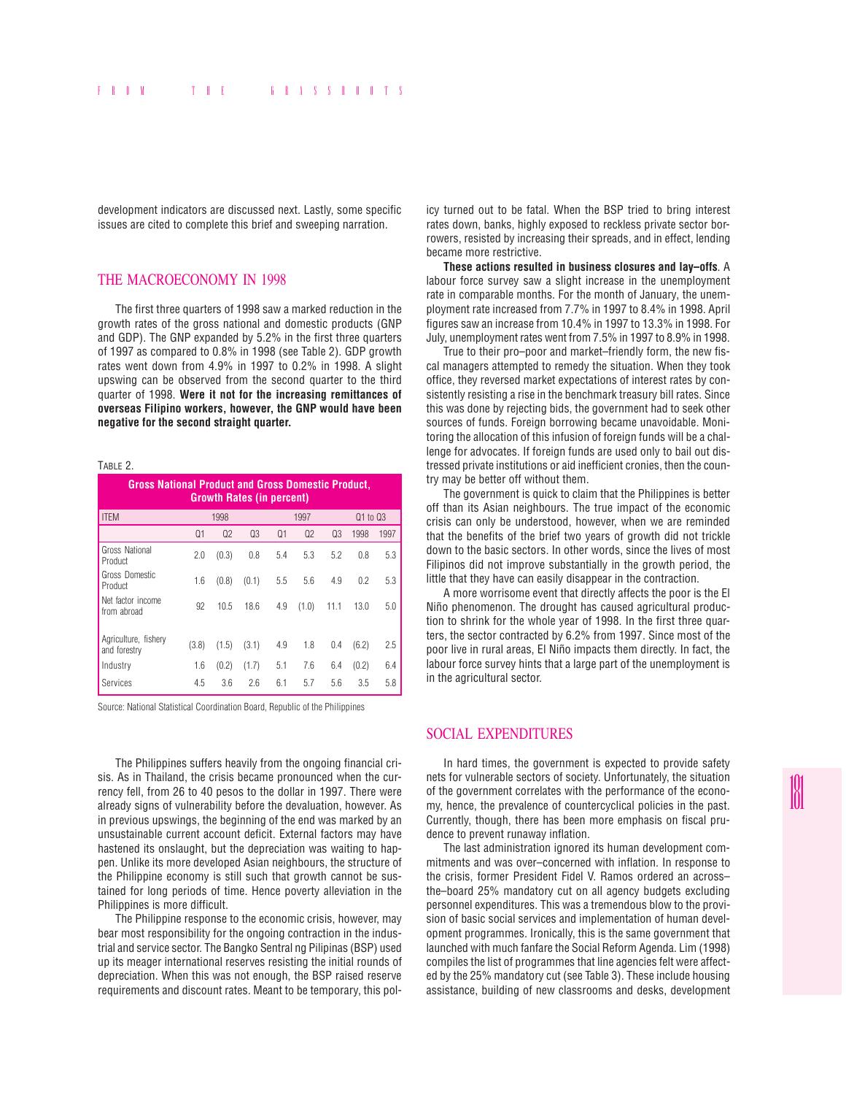development indicators are discussed next. Lastly, some specific issues are cited to complete this brief and sweeping narration.

## THE MACROECONOMY IN 1998

The first three quarters of 1998 saw a marked reduction in the growth rates of the gross national and domestic products (GNP and GDP). The GNP expanded by 5.2% in the first three quarters of 1997 as compared to 0.8% in 1998 (see Table 2). GDP growth rates went down from 4.9% in 1997 to 0.2% in 1998. A slight upswing can be observed from the second quarter to the third quarter of 1998. **Were it not for the increasing remittances of overseas Filipino workers, however, the GNP would have been negative for the second straight quarter.**

#### TABLE 2.

| <b>Gross National Product and Gross Domestic Product,</b><br><b>Growth Rates (in percent)</b> |       |                |                |                |                |                |       |          |  |
|-----------------------------------------------------------------------------------------------|-------|----------------|----------------|----------------|----------------|----------------|-------|----------|--|
| <b>ITEM</b>                                                                                   |       | 1998           |                |                | 1997           |                |       | Q1 to Q3 |  |
|                                                                                               | Q1    | Q <sub>2</sub> | Q <sub>3</sub> | Q <sub>1</sub> | Q <sub>2</sub> | Q <sub>3</sub> | 1998  | 1997     |  |
| Gross National<br>Product                                                                     | 2.0   | (0.3)          | 0.8            | 5.4            | 5.3            | 5.2            | 0.8   | 5.3      |  |
| Gross Domestic<br>Product                                                                     | 1.6   | (0.8)          | (0.1)          | 5.5            | 5.6            | 4.9            | 0.2   | 5.3      |  |
| Net factor income<br>from abroad                                                              | 92    | 10.5           | 18.6           | 4.9            | (1.0)          | 11.1           | 13.0  | 5.0      |  |
| Agriculture, fishery<br>and forestry                                                          | (3.8) | (1.5)          | (3.1)          | 4.9            | 1.8            | 0.4            | (6.2) | 2.5      |  |
| Industry                                                                                      | 1.6   | (0.2)          | (1.7)          | 5.1            | 7.6            | 6.4            | (0.2) | 6.4      |  |
| Services                                                                                      | 4.5   | 3.6            | 2.6            | 6.1            | 5.7            | 5.6            | 3.5   | 5.8      |  |

Source: National Statistical Coordination Board, Republic of the Philippines

The Philippines suffers heavily from the ongoing financial crisis. As in Thailand, the crisis became pronounced when the currency fell, from 26 to 40 pesos to the dollar in 1997. There were already signs of vulnerability before the devaluation, however. As in previous upswings, the beginning of the end was marked by an unsustainable current account deficit. External factors may have hastened its onslaught, but the depreciation was waiting to happen. Unlike its more developed Asian neighbours, the structure of the Philippine economy is still such that growth cannot be sustained for long periods of time. Hence poverty alleviation in the Philippines is more difficult.

The Philippine response to the economic crisis, however, may bear most responsibility for the ongoing contraction in the industrial and service sector. The Bangko Sentral ng Pilipinas (BSP) used up its meager international reserves resisting the initial rounds of depreciation. When this was not enough, the BSP raised reserve requirements and discount rates. Meant to be temporary, this policy turned out to be fatal. When the BSP tried to bring interest rates down, banks, highly exposed to reckless private sector borrowers, resisted by increasing their spreads, and in effect, lending became more restrictive.

**These actions resulted in business closures and lay–offs**. A labour force survey saw a slight increase in the unemployment rate in comparable months. For the month of January, the unemployment rate increased from 7.7% in 1997 to 8.4% in 1998. April figures saw an increase from 10.4% in 1997 to 13.3% in 1998. For July, unemployment rates went from 7.5% in 1997 to 8.9% in 1998.

True to their pro–poor and market–friendly form, the new fiscal managers attempted to remedy the situation. When they took office, they reversed market expectations of interest rates by consistently resisting a rise in the benchmark treasury bill rates. Since this was done by rejecting bids, the government had to seek other sources of funds. Foreign borrowing became unavoidable. Monitoring the allocation of this infusion of foreign funds will be a challenge for advocates. If foreign funds are used only to bail out distressed private institutions or aid inefficient cronies, then the country may be better off without them.

The government is quick to claim that the Philippines is better off than its Asian neighbours. The true impact of the economic crisis can only be understood, however, when we are reminded that the benefits of the brief two years of growth did not trickle down to the basic sectors. In other words, since the lives of most Filipinos did not improve substantially in the growth period, the little that they have can easily disappear in the contraction.

A more worrisome event that directly affects the poor is the El Niño phenomenon. The drought has caused agricultural production to shrink for the whole year of 1998. In the first three quarters, the sector contracted by 6.2% from 1997. Since most of the poor live in rural areas, El Niño impacts them directly. In fact, the labour force survey hints that a large part of the unemployment is in the agricultural sector.

## SOCIAL EXPENDITURES

In hard times, the government is expected to provide safety nets for vulnerable sectors of society. Unfortunately, the situation of the government correlates with the performance of the economy, hence, the prevalence of countercyclical policies in the past. Currently, though, there has been more emphasis on fiscal prudence to prevent runaway inflation.

The last administration ignored its human development commitments and was over–concerned with inflation. In response to the crisis, former President Fidel V. Ramos ordered an across– the–board 25% mandatory cut on all agency budgets excluding personnel expenditures. This was a tremendous blow to the provision of basic social services and implementation of human development programmes. Ironically, this is the same government that launched with much fanfare the Social Reform Agenda. Lim (1998) compiles the list of programmes that line agencies felt were affected by the 25% mandatory cut (see Table 3). These include housing assistance, building of new classrooms and desks, development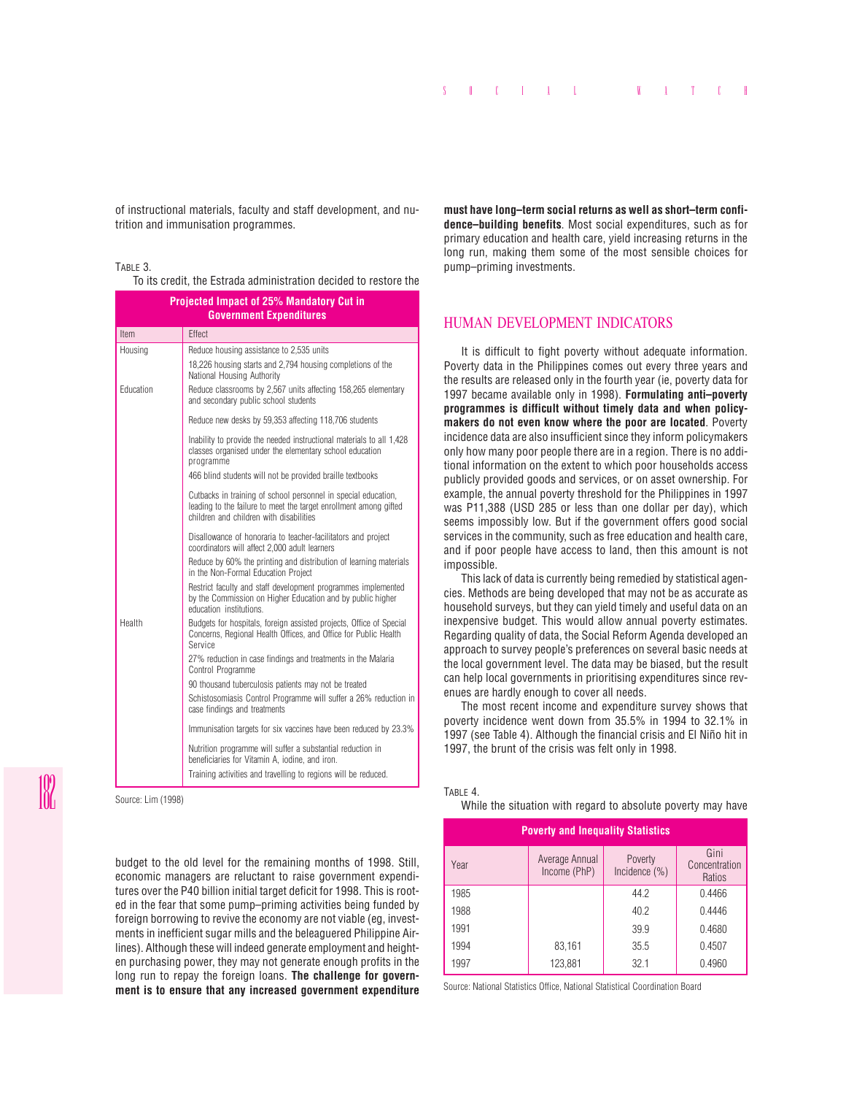of instructional materials, faculty and staff development, and nutrition and immunisation programmes.

#### TABLE 3.

To its credit, the Estrada administration decided to restore the

| Projected Impact of 25% Mandatory Cut in<br><b>Government Expenditures</b> |                                                                                                                                                                                |  |  |  |
|----------------------------------------------------------------------------|--------------------------------------------------------------------------------------------------------------------------------------------------------------------------------|--|--|--|
| Item                                                                       | Effect                                                                                                                                                                         |  |  |  |
| Housing                                                                    | Reduce housing assistance to 2,535 units                                                                                                                                       |  |  |  |
|                                                                            | 18,226 housing starts and 2,794 housing completions of the<br>National Housing Authority                                                                                       |  |  |  |
| Education                                                                  | Reduce classrooms by 2,567 units affecting 158,265 elementary<br>and secondary public school students                                                                          |  |  |  |
|                                                                            | Reduce new desks by 59,353 affecting 118,706 students                                                                                                                          |  |  |  |
|                                                                            | Inability to provide the needed instructional materials to all 1,428<br>classes organised under the elementary school education<br>programme                                   |  |  |  |
|                                                                            | 466 blind students will not be provided braille textbooks                                                                                                                      |  |  |  |
|                                                                            | Cutbacks in training of school personnel in special education,<br>leading to the failure to meet the target enrollment among gifted<br>children and children with disabilities |  |  |  |
|                                                                            | Disallowance of honoraria to teacher-facilitators and project<br>coordinators will affect 2,000 adult learners                                                                 |  |  |  |
|                                                                            | Reduce by 60% the printing and distribution of learning materials<br>in the Non-Formal Education Project                                                                       |  |  |  |
|                                                                            | Restrict faculty and staff development programmes implemented<br>by the Commission on Higher Education and by public higher<br>education institutions.                         |  |  |  |
| Health                                                                     | Budgets for hospitals, foreign assisted projects, Office of Special<br>Concerns, Regional Health Offices, and Office for Public Health<br>Service                              |  |  |  |
|                                                                            | 27% reduction in case findings and treatments in the Malaria<br>Control Programme                                                                                              |  |  |  |
|                                                                            | 90 thousand tuberculosis patients may not be treated                                                                                                                           |  |  |  |
|                                                                            | Schistosomiasis Control Programme will suffer a 26% reduction in<br>case findings and treatments                                                                               |  |  |  |
|                                                                            | Immunisation targets for six vaccines have been reduced by 23.3%                                                                                                               |  |  |  |
|                                                                            | Nutrition programme will suffer a substantial reduction in<br>beneficiaries for Vitamin A, iodine, and iron.                                                                   |  |  |  |
|                                                                            | Training activities and travelling to regions will be reduced.                                                                                                                 |  |  |  |
| Source: Lim (1998)                                                         |                                                                                                                                                                                |  |  |  |

budget to the old level for the remaining months of 1998. Still, economic managers are reluctant to raise government expenditures over the P40 billion initial target deficit for 1998. This is rooted in the fear that some pump–priming activities being funded by foreign borrowing to revive the economy are not viable (eg, investments in inefficient sugar mills and the beleaguered Philippine Airlines). Although these will indeed generate employment and heighten purchasing power, they may not generate enough profits in the long run to repay the foreign loans. **The challenge for government is to ensure that any increased government expenditure** **must have long–term social returns as well as short–term confidence–building benefits**. Most social expenditures, such as for primary education and health care, yield increasing returns in the long run, making them some of the most sensible choices for pump–priming investments.

## HUMAN DEVELOPMENT INDICATORS

It is difficult to fight poverty without adequate information. Poverty data in the Philippines comes out every three years and the results are released only in the fourth year (ie, poverty data for 1997 became available only in 1998). **Formulating anti–poverty programmes is difficult without timely data and when policymakers do not even know where the poor are located**. Poverty incidence data are also insufficient since they inform policymakers only how many poor people there are in a region. There is no additional information on the extent to which poor households access publicly provided goods and services, or on asset ownership. For example, the annual poverty threshold for the Philippines in 1997 was P11,388 (USD 285 or less than one dollar per day), which seems impossibly low. But if the government offers good social services in the community, such as free education and health care, and if poor people have access to land, then this amount is not impossible.

This lack of data is currently being remedied by statistical agencies. Methods are being developed that may not be as accurate as household surveys, but they can yield timely and useful data on an inexpensive budget. This would allow annual poverty estimates. Regarding quality of data, the Social Reform Agenda developed an approach to survey people's preferences on several basic needs at the local government level. The data may be biased, but the result can help local governments in prioritising expenditures since revenues are hardly enough to cover all needs.

The most recent income and expenditure survey shows that poverty incidence went down from 35.5% in 1994 to 32.1% in 1997 (see Table 4). Although the financial crisis and El Niño hit in 1997, the brunt of the crisis was felt only in 1998.

#### TABLE 4

While the situation with regard to absolute poverty may have

| <b>Poverty and Inequality Statistics</b> |                                |                             |                                 |  |  |
|------------------------------------------|--------------------------------|-----------------------------|---------------------------------|--|--|
| Year                                     | Average Annual<br>Income (PhP) | Poverty<br>Incidence $(\%)$ | Gini<br>Concentration<br>Ratios |  |  |
| 1985                                     |                                | 44.2                        | 0.4466                          |  |  |
| 1988                                     |                                | 40.2                        | 0.4446                          |  |  |
| 1991                                     |                                | 39.9                        | 0.4680                          |  |  |
| 1994                                     | 83,161                         | 35.5                        | 0.4507                          |  |  |
| 1997                                     | 123,881                        | 32.1                        | 0.4960                          |  |  |

Source: National Statistics Office, National Statistical Coordination Board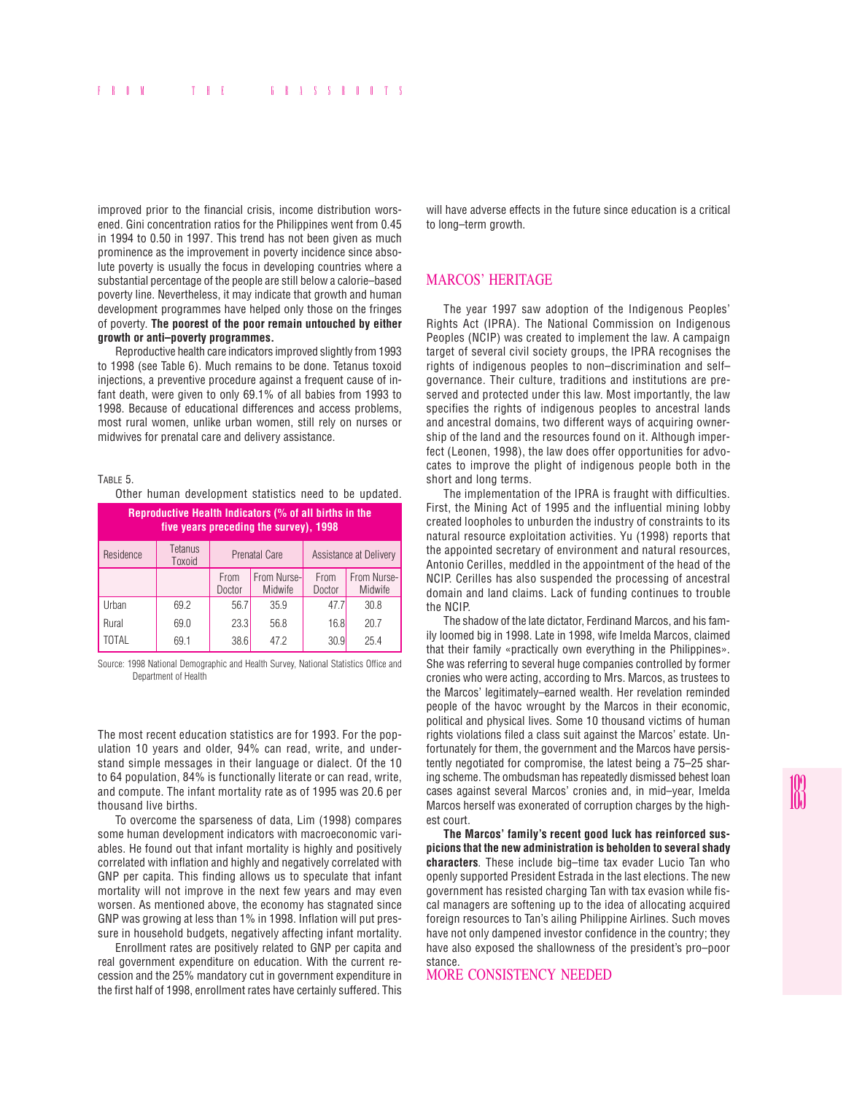improved prior to the financial crisis, income distribution worsened. Gini concentration ratios for the Philippines went from 0.45 in 1994 to 0.50 in 1997. This trend has not been given as much prominence as the improvement in poverty incidence since absolute poverty is usually the focus in developing countries where a substantial percentage of the people are still below a calorie–based poverty line. Nevertheless, it may indicate that growth and human development programmes have helped only those on the fringes of poverty. **The poorest of the poor remain untouched by either growth or anti–poverty programmes.**

Reproductive health care indicators improved slightly from 1993 to 1998 (see Table 6). Much remains to be done. Tetanus toxoid injections, a preventive procedure against a frequent cause of infant death, were given to only 69.1% of all babies from 1993 to 1998. Because of educational differences and access problems, most rural women, unlike urban women, still rely on nurses or midwives for prenatal care and delivery assistance.

TABLE 5.

Other human development statistics need to be updated.

| Reproductive Health Indicators (% of all births in the<br>five years preceding the survey), 1998 |                   |                |                        |                        |                        |  |
|--------------------------------------------------------------------------------------------------|-------------------|----------------|------------------------|------------------------|------------------------|--|
| Residence                                                                                        | Tetanus<br>Toxoid |                | <b>Prenatal Care</b>   | Assistance at Delivery |                        |  |
|                                                                                                  |                   | From<br>Doctor | From Nurse-<br>Midwife | From<br>Doctor         | From Nurse-<br>Midwife |  |
| Urban                                                                                            | 69.2              | 56.7           | 35.9                   | 47.7                   | 30.8                   |  |
| Rural                                                                                            | 69.0              | 23.3           | 56.8                   | 16.8                   | 20.7                   |  |
| TOTAL                                                                                            | 69.1              | 38.6           | 47.2                   | 30.9                   | 25.4                   |  |

Source: 1998 National Demographic and Health Survey, National Statistics Office and Department of Health

The most recent education statistics are for 1993. For the population 10 years and older, 94% can read, write, and understand simple messages in their language or dialect. Of the 10 to 64 population, 84% is functionally literate or can read, write, and compute. The infant mortality rate as of 1995 was 20.6 per thousand live births.

To overcome the sparseness of data, Lim (1998) compares some human development indicators with macroeconomic variables. He found out that infant mortality is highly and positively correlated with inflation and highly and negatively correlated with GNP per capita. This finding allows us to speculate that infant mortality will not improve in the next few years and may even worsen. As mentioned above, the economy has stagnated since GNP was growing at less than 1% in 1998. Inflation will put pressure in household budgets, negatively affecting infant mortality.

Enrollment rates are positively related to GNP per capita and real government expenditure on education. With the current recession and the 25% mandatory cut in government expenditure in the first half of 1998, enrollment rates have certainly suffered. This

will have adverse effects in the future since education is a critical to long–term growth.

## MARCOS' HERITAGE

The year 1997 saw adoption of the Indigenous Peoples' Rights Act (IPRA). The National Commission on Indigenous Peoples (NCIP) was created to implement the law. A campaign target of several civil society groups, the IPRA recognises the rights of indigenous peoples to non–discrimination and self– governance. Their culture, traditions and institutions are preserved and protected under this law. Most importantly, the law specifies the rights of indigenous peoples to ancestral lands and ancestral domains, two different ways of acquiring ownership of the land and the resources found on it. Although imperfect (Leonen, 1998), the law does offer opportunities for advocates to improve the plight of indigenous people both in the short and long terms.

The implementation of the IPRA is fraught with difficulties. First, the Mining Act of 1995 and the influential mining lobby created loopholes to unburden the industry of constraints to its natural resource exploitation activities. Yu (1998) reports that the appointed secretary of environment and natural resources, Antonio Cerilles, meddled in the appointment of the head of the NCIP. Cerilles has also suspended the processing of ancestral domain and land claims. Lack of funding continues to trouble the NCIP.

The shadow of the late dictator, Ferdinand Marcos, and his family loomed big in 1998. Late in 1998, wife Imelda Marcos, claimed that their family «practically own everything in the Philippines». She was referring to several huge companies controlled by former cronies who were acting, according to Mrs. Marcos, as trustees to the Marcos' legitimately–earned wealth. Her revelation reminded people of the havoc wrought by the Marcos in their economic, political and physical lives. Some 10 thousand victims of human rights violations filed a class suit against the Marcos' estate. Unfortunately for them, the government and the Marcos have persistently negotiated for compromise, the latest being a 75–25 sharing scheme. The ombudsman has repeatedly dismissed behest loan cases against several Marcos' cronies and, in mid–year, Imelda Marcos herself was exonerated of corruption charges by the highest court.

**The Marcos' family's recent good luck has reinforced suspicions that the new administration is beholden to several shady characters**. These include big–time tax evader Lucio Tan who openly supported President Estrada in the last elections. The new government has resisted charging Tan with tax evasion while fiscal managers are softening up to the idea of allocating acquired foreign resources to Tan's ailing Philippine Airlines. Such moves have not only dampened investor confidence in the country; they have also exposed the shallowness of the president's pro–poor stance.

MORE CONSISTENCY NEEDED